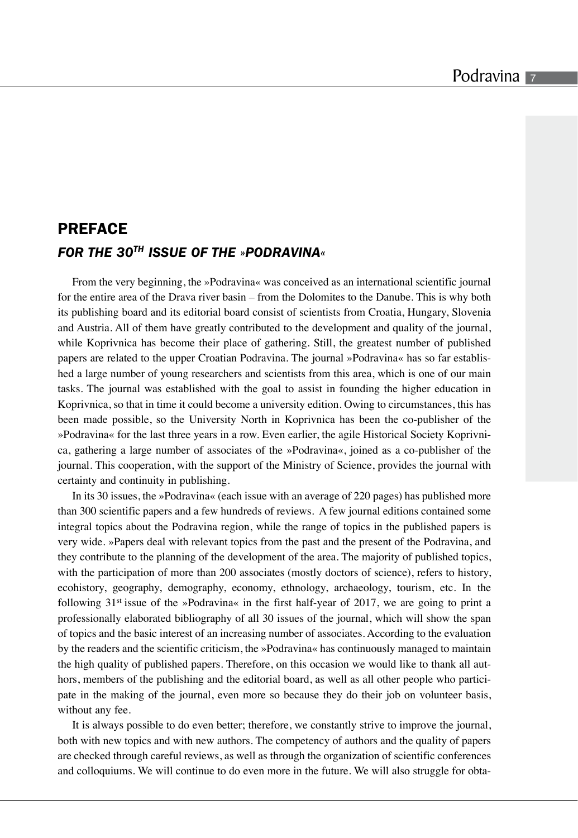## **PREFACE** *FOR THE 30TH ISSUE OF THE »PODRAVINA«*

From the very beginning, the »Podravina« was conceived as an international scientific journal for the entire area of the Drava river basin – from the Dolomites to the Danube. This is why both its publishing board and its editorial board consist of scientists from Croatia, Hungary, Slovenia and Austria. All of them have greatly contributed to the development and quality of the journal, while Koprivnica has become their place of gathering. Still, the greatest number of published papers are related to the upper Croatian Podravina. The journal »Podravina« has so far established a large number of young researchers and scientists from this area, which is one of our main tasks. The journal was established with the goal to assist in founding the higher education in Koprivnica, so that in time it could become a university edition. Owing to circumstances, this has been made possible, so the University North in Koprivnica has been the co-publisher of the »Podravina« for the last three years in a row. Even earlier, the agile Historical Society Koprivnica, gathering a large number of associates of the »Podravina«, joined as a co-publisher of the journal. This cooperation, with the support of the Ministry of Science, provides the journal with certainty and continuity in publishing.

In its 30 issues, the »Podravina« (each issue with an average of 220 pages) has published more than 300 scientific papers and a few hundreds of reviews. A few journal editions contained some integral topics about the Podravina region, while the range of topics in the published papers is very wide. »Papers deal with relevant topics from the past and the present of the Podravina, and they contribute to the planning of the development of the area. The majority of published topics, with the participation of more than 200 associates (mostly doctors of science), refers to history, ecohistory, geography, demography, economy, ethnology, archaeology, tourism, etc. In the following  $31<sup>st</sup>$  issue of the »Podravina« in the first half-year of 2017, we are going to print a professionally elaborated bibliography of all 30 issues of the journal, which will show the span of topics and the basic interest of an increasing number of associates. According to the evaluation by the readers and the scientific criticism, the »Podravina« has continuously managed to maintain the high quality of published papers. Therefore, on this occasion we would like to thank all authors, members of the publishing and the editorial board, as well as all other people who participate in the making of the journal, even more so because they do their job on volunteer basis, without any fee.

It is always possible to do even better; therefore, we constantly strive to improve the journal, both with new topics and with new authors. The competency of authors and the quality of papers are checked through careful reviews, as well as through the organization of scientific conferences and colloquiums. We will continue to do even more in the future. We will also struggle for obta-